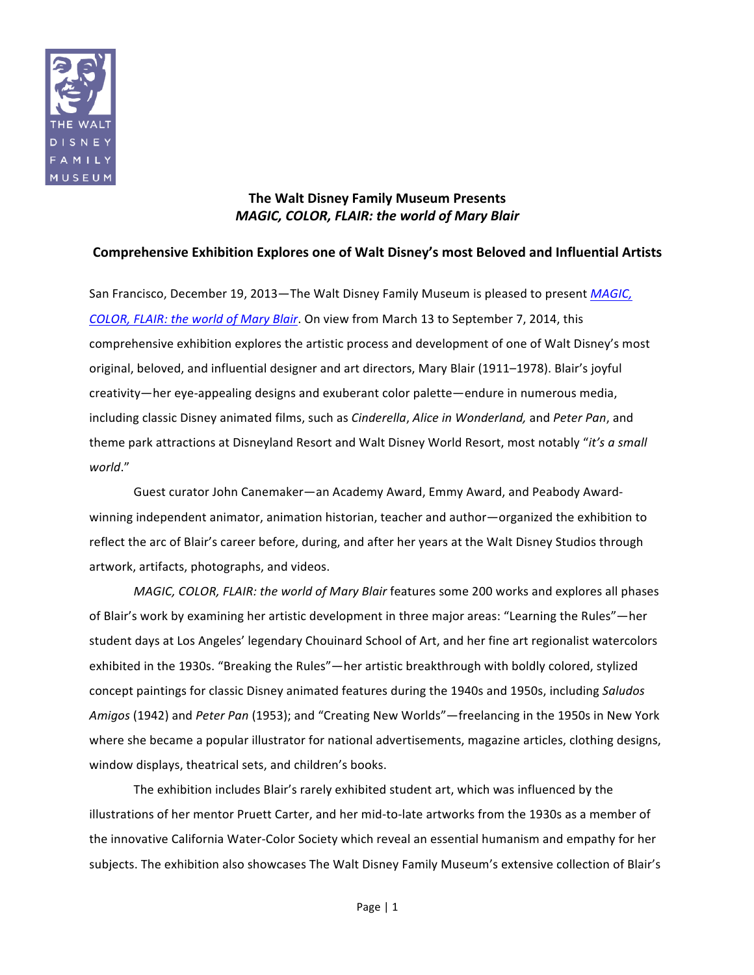

# **The Walt Disney Family Museum Presents** *MAGIC,'COLOR,'FLAIR:'the'world'of'Mary'Blair*

# Comprehensive Exhibition Explores one of Walt Disney's most Beloved and Influential Artists

San Francisco, December 19, 2013—The Walt Disney Family Museum is pleased to present *MAGIC*, *COLOR, FLAIR: the world of Mary Blair*. On view from March 13 to September 7, 2014, this comprehensive exhibition explores the artistic process and development of one of Walt Disney's most original, beloved, and influential designer and art directors, Mary Blair (1911–1978). Blair's joyful creativity—her eye-appealing designs and exuberant color palette—endure in numerous media, including classic Disney animated films, such as *Cinderella*, *Alice in Wonderland*, and *Peter Pan*, and theme park attractions at Disneyland Resort and Walt Disney World Resort, most notably "*it's a small world*."

Guest curator John Canemaker—an Academy Award, Emmy Award, and Peabody Awardwinning independent animator, animation historian, teacher and author—organized the exhibition to reflect the arc of Blair's career before, during, and after her years at the Walt Disney Studios through artwork, artifacts, photographs, and videos.

*MAGIC, COLOR, FLAIR: the world of Mary Blair features some 200 works and explores all phases* of Blair's work by examining her artistic development in three major areas: "Learning the Rules"—her student days at Los Angeles' legendary Chouinard School of Art, and her fine art regionalist watercolors exhibited in the 1930s. "Breaking the Rules"—her artistic breakthrough with boldly colored, stylized concept paintings for classic Disney animated features during the 1940s and 1950s, including *Saludos Amigos* (1942) and *Peter Pan* (1953); and "Creating New Worlds"—freelancing in the 1950s in New York where she became a popular illustrator for national advertisements, magazine articles, clothing designs, window displays, theatrical sets, and children's books.

The exhibition includes Blair's rarely exhibited student art, which was influenced by the illustrations of her mentor Pruett Carter, and her mid-to-late artworks from the 1930s as a member of the innovative California Water-Color Society which reveal an essential humanism and empathy for her subjects. The exhibition also showcases The Walt Disney Family Museum's extensive collection of Blair's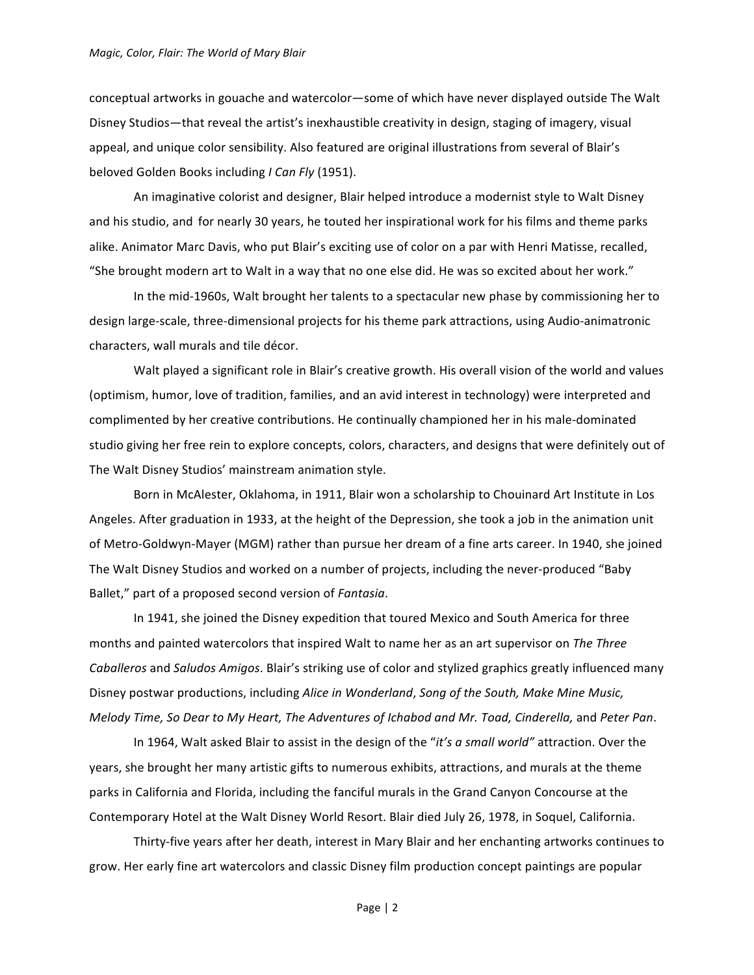#### *Magic, Color, Flair: The World of Mary Blair*

conceptual artworks in gouache and watercolor—some of which have never displayed outside The Walt Disney Studios—that reveal the artist's inexhaustible creativity in design, staging of imagery, visual appeal, and unique color sensibility. Also featured are original illustrations from several of Blair's beloved Golden Books including *I Can Fly* (1951).

An imaginative colorist and designer, Blair helped introduce a modernist style to Walt Disney and his studio, and for nearly 30 years, he touted her inspirational work for his films and theme parks alike. Animator Marc Davis, who put Blair's exciting use of color on a par with Henri Matisse, recalled, "She brought modern art to Walt in a way that no one else did. He was so excited about her work."

In the mid-1960s, Walt brought her talents to a spectacular new phase by commissioning her to design large-scale, three-dimensional projects for his theme park attractions, using Audio-animatronic characters, wall murals and tile décor.

Walt played a significant role in Blair's creative growth. His overall vision of the world and values (optimism, humor, love of tradition, families, and an avid interest in technology) were interpreted and complimented by her creative contributions. He continually championed her in his male-dominated studio giving her free rein to explore concepts, colors, characters, and designs that were definitely out of The Walt Disney Studios' mainstream animation style.

Born in McAlester, Oklahoma, in 1911, Blair won a scholarship to Chouinard Art Institute in Los Angeles. After graduation in 1933, at the height of the Depression, she took a job in the animation unit of Metro-Goldwyn-Mayer (MGM) rather than pursue her dream of a fine arts career. In 1940, she joined The Walt Disney Studios and worked on a number of projects, including the never-produced "Baby Ballet," part of a proposed second version of *Fantasia*.

In 1941, she joined the Disney expedition that toured Mexico and South America for three months and painted watercolors that inspired Walt to name her as an art supervisor on *The Three Caballeros* and *Saludos Amigos*. Blair's striking use of color and stylized graphics greatly influenced many Disney postwar productions, including *Alice in Wonderland*, *Song of the South, Make Mine Music, Melody Time, So Dear to My Heart, The Adventures of Ichabod and Mr. Toad, Cinderella, and Peter Pan.* 

In 1964, Walt asked Blair to assist in the design of the "it's a small world" attraction. Over the years, she brought her many artistic gifts to numerous exhibits, attractions, and murals at the theme parks in California and Florida, including the fanciful murals in the Grand Canyon Concourse at the Contemporary Hotel at the Walt Disney World Resort. Blair died July 26, 1978, in Soquel, California.

Thirty-five years after her death, interest in Mary Blair and her enchanting artworks continues to grow. Her early fine art watercolors and classic Disney film production concept paintings are popular